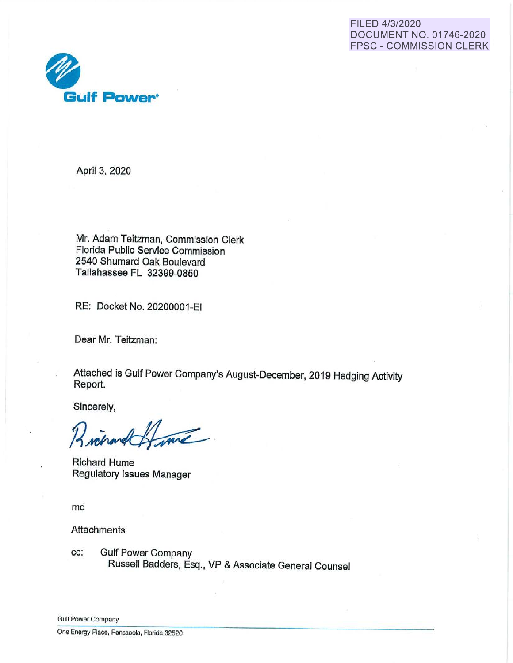



April 3, 2020

Mr. Adam Teitzman, Commission Clerk Florida Public Service Commission 2540 Shumard Oak Boulevard Tallahassee FL 32399-0850

RE: Docket No. 20200001~EI

Dear Mr. Teitzman:

Attached is Gulf Power Company's August-December, 2019 Hedging Activity Report.

Sincerely,

me

Richard Hume Regulatory Issues Manager

md

**Attachments** 

cc: Gulf Power Company Russell Badders, Esq., VP & Associate General Counsel

**Gulf Power Company**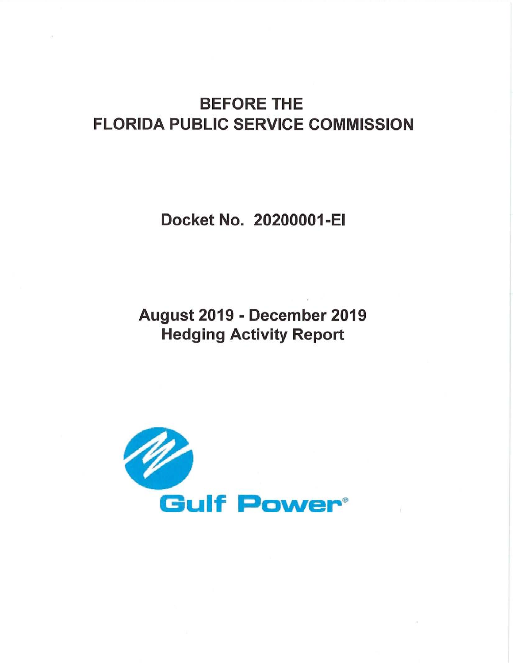# BEFORE THE FLORIDA PUBLIC SERVICE COMMISSION

Docket No. 20200001-EI

August 2019 - December 2019 Hedging Activity Report

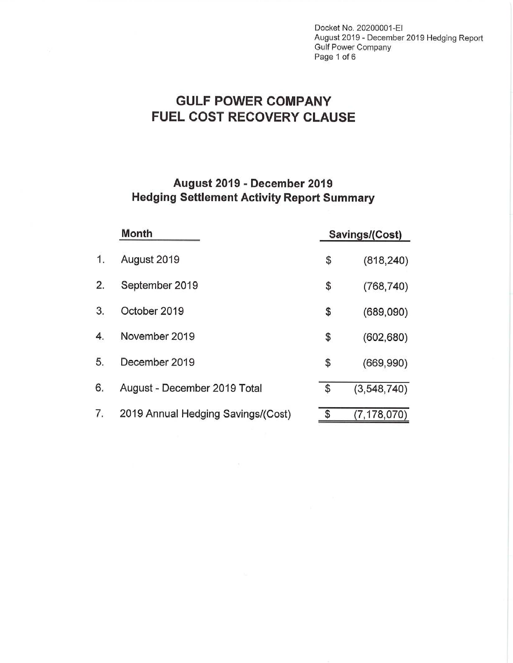Docket No. 20200001·EI August 2019 - December 2019 Hedging Report Gulf Power Company Page 1 of 6

## **GULF POWER COMPANY FUEL COST RECOVERY CLAUSE**

### **August 2019 - December 2019 Hedging Settlement Activity Report Summary**

|    | <b>Month</b>                       | Savings/(Cost) |               |  |  |  |
|----|------------------------------------|----------------|---------------|--|--|--|
| 1. | August 2019                        | \$             | (818, 240)    |  |  |  |
| 2. | September 2019                     | \$             | (768, 740)    |  |  |  |
| 3. | October 2019                       | \$             | (689,090)     |  |  |  |
| 4. | November 2019                      | \$             | (602, 680)    |  |  |  |
| 5. | December 2019                      | \$             | (669, 990)    |  |  |  |
| 6. | August - December 2019 Total       | \$             | (3, 548, 740) |  |  |  |
| 7. | 2019 Annual Hedging Savings/(Cost) | \$             | (7, 178, 070) |  |  |  |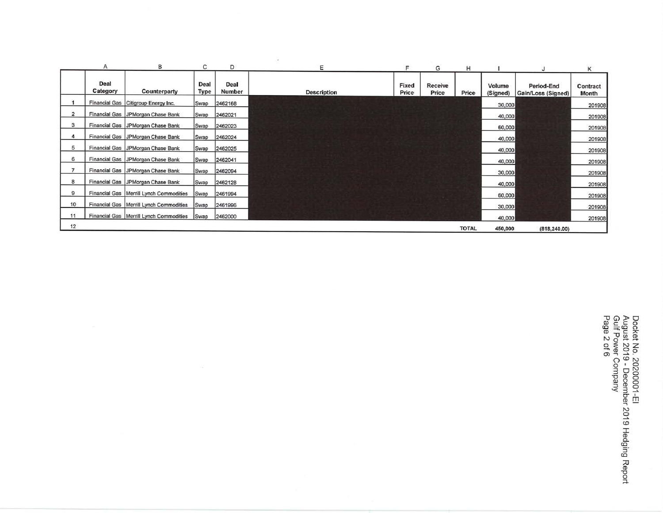|                |                  | В                                                | С            | D              | Ε                  | F              | G                | н            |                    |                                  | Κ                 |
|----------------|------------------|--------------------------------------------------|--------------|----------------|--------------------|----------------|------------------|--------------|--------------------|----------------------------------|-------------------|
|                | Deal<br>Category | Counterparty                                     | Deal<br>Type | Deal<br>Number | <b>Description</b> | Fixed<br>Price | Receive<br>Price | Price        | Volume<br>(Signed) | Period-End<br>Gain/Loss (Signed) | Contract<br>Month |
|                |                  | Financial Gas Citigroup Energy Inc.              | Swap         | 2462168        |                    |                |                  |              | 30,000             |                                  | 201908            |
| $\overline{2}$ |                  | Financial Gas JPMorgan Chase Bank                | Swap         | 2462021        |                    |                |                  |              | 40,000             |                                  | 201908            |
| 3              |                  | Financial Gas JPMorgan Chase Bank                | Swap         | 2462023        |                    |                |                  |              | 60,000             |                                  | 201908            |
| 4              |                  | Financial Gas JPMorgan Chase Bank                | Swap         | 2462024        |                    |                |                  |              | 40,000             |                                  | 201908            |
| 5              |                  | Financial Gas JPMorgan Chase Bank                | Swap         | 2462025        |                    |                |                  |              | 40,000             |                                  | 201908            |
| 6              |                  | Financial Gas JPMorgan Chase Bank                | Swap         | 2462041        |                    |                |                  |              | 40,000             |                                  | 201908            |
|                |                  | Financial Gas   JPMorgan Chase Bank              | Swap         | 2462094        |                    |                |                  |              | 30,000             |                                  | 201908            |
| 8              |                  | Financial Gas   JPMorgan Chase Bank              | Swap         | 2462128        |                    |                |                  |              | 40,000             |                                  | 201908            |
| 9              |                  | Financial Gas   Merrill Lynch Commodities        | Swap         | 2461994        |                    |                |                  |              | 60,000             |                                  | 201908            |
| 10             |                  | Financial Gas   Merrill Lynch Commodities        | Swap         | 2461996        |                    |                |                  |              | 30,000             |                                  | 201908            |
| 11             |                  | Financial Gas   Merrill Lynch Commodities   Swap |              | 2462000        |                    |                |                  |              | 40,000             |                                  | 201908            |
| 12             |                  |                                                  |              |                |                    |                |                  | <b>TOTAL</b> | 450,000            | (818, 240.00)                    |                   |

 $\sim$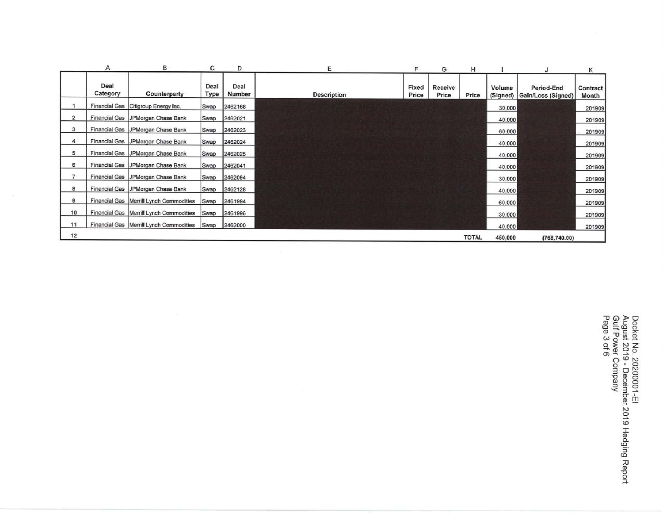|                | Α                | в                                         | С            | D              | E                  | F              | G                | н            |                    |                                  | Κ                   |
|----------------|------------------|-------------------------------------------|--------------|----------------|--------------------|----------------|------------------|--------------|--------------------|----------------------------------|---------------------|
|                | Deal<br>Category | Counterparty                              | Deal<br>Type | Deal<br>Number | <b>Description</b> | Fixed<br>Price | Receive<br>Price | Price        | Volume<br>(Signed) | Period-End<br>Gain/Loss (Signed) | Contract  <br>Month |
|                |                  | Financial Gas Citigroup Energy Inc.       | Swap         | 2462168        |                    |                |                  |              | 30,000             |                                  | 201909              |
| $\overline{2}$ |                  | Financial Gas   JPMorgan Chase Bank       | Swap         | 2462021        |                    |                |                  |              | 40,000             |                                  | 201909              |
| 3              |                  | Financial Gas JPMorgan Chase Bank         | Swap         | 2462023        |                    |                |                  |              | 60,000             |                                  | 201909              |
| 4              |                  | Financial Gas JPMorgan Chase Bank         | Swap         | 2462024        |                    |                |                  |              | 40,000             |                                  | 201909              |
| 5              |                  | Financial Gas JPMorgan Chase Bank         | Swap         | 2462025        |                    |                |                  |              | 40,000             |                                  | 201909              |
| 6              |                  | Financial Gas JPMorgan Chase Bank         | Swap         | 2462041        |                    |                |                  |              | 40,000             |                                  | 201909              |
| $\overline{ }$ |                  | Financial Gas JPMorgan Chase Bank         | Swap         | 2462094        |                    |                |                  |              | 30,000             |                                  | 201909              |
| 8              |                  | Financial Gas JPMorgan Chase Bank         | Swap         | 2462128        |                    |                |                  |              | 40,000             |                                  | 201909              |
| 9              |                  | Financial Gas   Merrill Lynch Commodities | Swap         | 2461994        |                    |                |                  |              | 60,000             |                                  | 201909              |
| 10             |                  | Financial Gas   Merrill Lynch Commodities | Swap         | 2461996        |                    |                |                  |              | 30,000             |                                  | 201909              |
| 11             |                  | Financial Gas   Merrill Lynch Commodities | Swap         | 2462000        |                    |                |                  |              | 40,000             |                                  | 201909              |
| 12             |                  |                                           |              |                |                    |                |                  | <b>TOTAL</b> | 450,000            | (768, 740.00)                    |                     |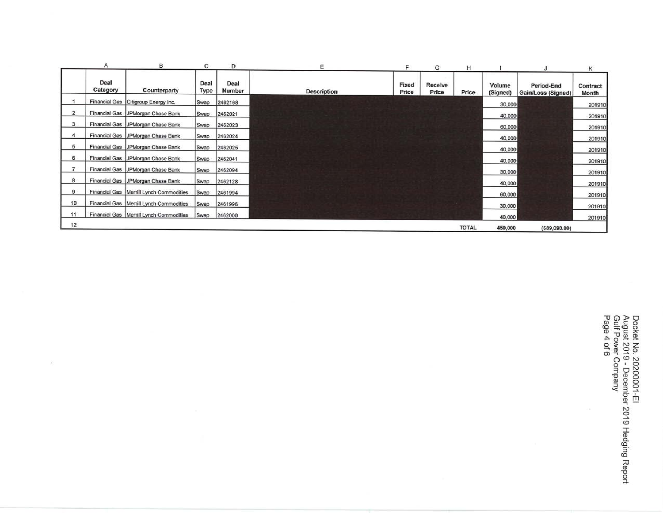|                | Α                | в                                         | с            | D              | Ε                  | F              | G                | н            |                    |                                  | К                 |
|----------------|------------------|-------------------------------------------|--------------|----------------|--------------------|----------------|------------------|--------------|--------------------|----------------------------------|-------------------|
|                | Deal<br>Category | Counterparty                              | Deal<br>Type | Deal<br>Number | <b>Description</b> | Fixed<br>Price | Receive<br>Price | Price        | Volume<br>(Signed) | Period-End<br>Gain/Loss (Signed) | Contract<br>Month |
|                |                  | Financial Gas Citigroup Energy Inc.       | Swap         | 2462168        |                    |                |                  |              | 30,000             |                                  | 201910            |
| $\overline{2}$ |                  | Financial Gas   JPMorgan Chase Bank       | Swap         | 2462021        |                    |                |                  |              | 40,000             |                                  | 201910            |
| 3              |                  | Financial Gas   JPMorgan Chase Bank       | Swap         | 2462023        |                    |                |                  |              | 60,000             |                                  | 201910            |
| 4              |                  | Financial Gas   JPMorgan Chase Bank       | Swap         | 2462024        |                    |                |                  |              | 40,000             |                                  | 201910            |
| 5              |                  | Financial Gas   JPMorgan Chase Bank       | Swap         | 2462025        |                    |                |                  |              | 40,000             |                                  | 201910            |
| 6              |                  | Financial Gas   JPMorgan Chase Bank       | Swap         | 2462041        |                    |                |                  |              | 40,000             |                                  | 201910            |
| $\overline{7}$ |                  | Financial Gas JPMorgan Chase Bank         | Swap         | 2462094        |                    |                |                  |              | 30,000             |                                  | 201910            |
| 8              |                  | Financial Gas   JPMorgan Chase Bank       | Swap         | 2462128        |                    |                |                  |              | 40,000             |                                  | 201910            |
| 9              |                  | Financial Gas   Merrill Lynch Commodities | Swap         | 2461994        |                    |                |                  |              | 60,000             |                                  | 201910            |
| 10             |                  | Financial Gas   Merrill Lynch Commodities | Swap         | 2461996        |                    |                |                  |              | 30,000             |                                  | 201910            |
| 11             |                  | Financial Gas   Merrill Lynch Commodities | Swap         | 2462000        |                    |                |                  |              | 40,000             |                                  | 201910            |
| 12             |                  |                                           |              |                |                    |                |                  | <b>TOTAL</b> | 450,000            | (689,090,00)                     |                   |

 $\overline{\mathcal{L}}$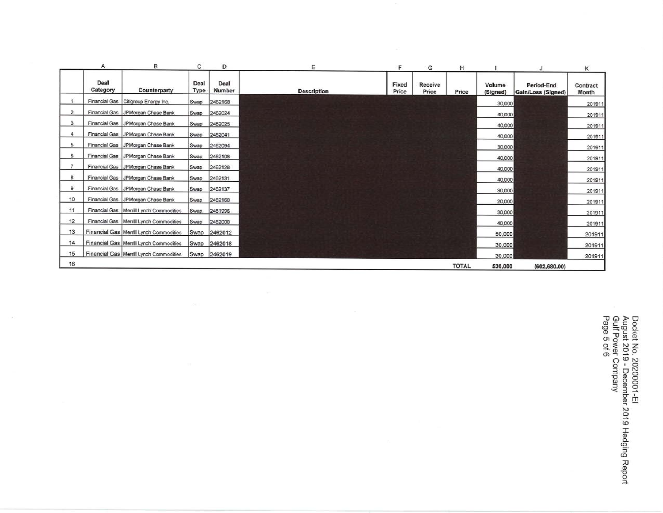|              | Α                    | в                                         | C            | D              | Ε                  | F              | G                | н            |                    |                                  | κ                 |
|--------------|----------------------|-------------------------------------------|--------------|----------------|--------------------|----------------|------------------|--------------|--------------------|----------------------------------|-------------------|
|              | Deal<br>Category     | Counterparty                              | Deal<br>Type | Deal<br>Number | <b>Description</b> | Fixed<br>Price | Receive<br>Price | Price        | Volume<br>(Signed) | Period-End<br>Gain/Loss (Signed) | Contract<br>Month |
|              | <b>Financial Gas</b> | Citigroup Energy Inc.                     | Swap         | 2462168        |                    |                |                  |              | 30,000             |                                  | 201911            |
| $\mathbf{2}$ | <b>Financial Gas</b> | JPMorgan Chase Bank                       | Swap         | 2462024        |                    |                |                  |              | 40,000             |                                  | 201911            |
| 3            | <b>Financial Gas</b> | JPMorgan Chase Bank                       | Swap         | 2462025        |                    |                |                  |              | 40,000             |                                  | 201911            |
| 4            |                      | Financial Gas JPMorgan Chase Bank         | Swap         | 2462041        |                    |                |                  |              | 40,000             |                                  | 201911            |
| 5            |                      | Financial Gas   JPMorgan Chase Bank       | Swap         | 2462094        |                    |                |                  |              | 30,000             |                                  | 201911            |
| 6            |                      | Financial Gas   JPMorgan Chase Bank       | Swap         | 2462108        |                    |                |                  |              | 40,000             |                                  | 201911            |
| 7            |                      | Financial Gas   JPMorgan Chase Bank       | Swap         | 2462128        |                    |                |                  |              | 40,000             |                                  | 201911            |
| 8            | <b>Financial Gas</b> | JPMorgan Chase Bank                       | Swap         | 2462131        |                    |                |                  |              | 40,000             |                                  | 201911            |
| 9            | <b>Financial Gas</b> | JPMorgan Chase Bank                       | Swap         | 2462137        |                    |                |                  |              | 30,000             |                                  | 201911            |
| 10           |                      | Financial Gas JPMorgan Chase Bank         | Swap         | 2462160        |                    |                |                  |              | 20,000             |                                  | 201911            |
| 11           |                      | Financial Gas   Merrill Lynch Commodities | Swap         | 2461996        |                    |                |                  |              | 30,000             |                                  | 201911            |
| 12           |                      | Financial Gas   Merrill Lynch Commodities | Swap         | 2462000        |                    |                |                  |              | 40,000             |                                  | 201911            |
| 13           |                      | Financial Gas   Merrill Lynch Commodities | Swap         | 2462012        |                    |                |                  |              | 50,000             |                                  | 201911            |
| 14           |                      | Financial Gas   Merrill Lynch Commodities | Swap         | 2462018        |                    |                |                  |              | 30,000             |                                  | 201911            |
| 15           |                      | Financial Gas   Merrill Lynch Commodities | Swap         | 2462019        |                    |                |                  |              | 30,000             |                                  | 201911            |
| 16           |                      |                                           |              |                |                    |                |                  | <b>TOTAL</b> | 530,000            | (602, 680.00)                    |                   |

 $\mathcal{A}$ 

Docket No. 20200001-El<br>August 2019 - December 2019 Hedging Report<br>Gulf Power Company<br>Page 5 of 6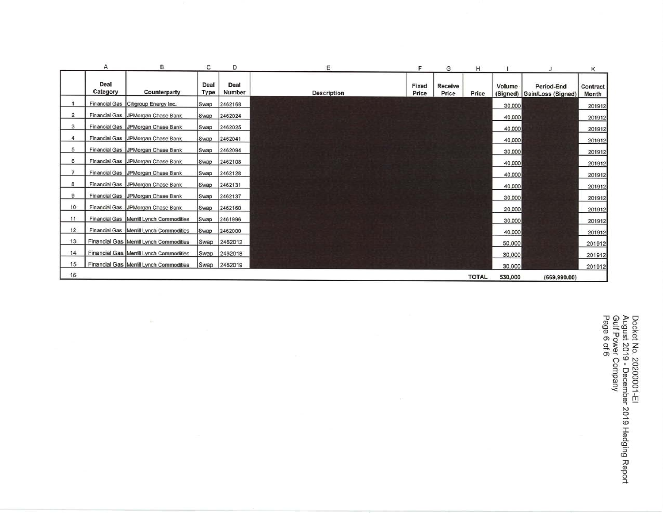|                | Α                | B                                         | с            | D              | E                  | F              | G                | н            |         |                                           | К                 |
|----------------|------------------|-------------------------------------------|--------------|----------------|--------------------|----------------|------------------|--------------|---------|-------------------------------------------|-------------------|
|                | Deal<br>Category | Counterparty                              | Deal<br>Type | Deal<br>Number | <b>Description</b> | Fixed<br>Price | Receive<br>Price | Price        | Volume  | Period-End<br>(Signed) Gain/Loss (Signed) | Contract<br>Month |
|                |                  | Financial Gas Citigroup Energy Inc.       | Swap         | 2462168        |                    |                |                  |              | 30,000  |                                           | 201912            |
| $\overline{c}$ |                  | Financial Gas JPMorgan Chase Bank         | Swap         | 2462024        |                    |                |                  |              | 40,000  |                                           | 201912            |
| 3              |                  | Financial Gas JPMorgan Chase Bank         | Swap         | 2462025        |                    |                |                  |              | 40,000  |                                           | 201912            |
| 4              |                  | Financial Gas   JPMorgan Chase Bank       | Swap         | 2462041        |                    |                |                  |              | 40,000  |                                           | 201912            |
| 5              |                  | Financial Gas JPMorgan Chase Bank         | Swap         | 2462094        |                    |                |                  |              | 30,000  |                                           | 201912            |
| 6              |                  | Financial Gas   JPMorgan Chase Bank       | Swap         | 2462108        |                    |                |                  |              | 40,000  |                                           | 201912            |
| $\overline{7}$ |                  | Financial Gas   JPMorgan Chase Bank       | Swap         | 2462128        |                    |                |                  |              | 40,000  |                                           | 201912            |
| 8              |                  | Financial Gas   JPMorgan Chase Bank       | Swap         | 2462131        |                    |                |                  |              | 40,000  |                                           | 201912            |
| 9              |                  | Financial Gas JPMorgan Chase Bank         | Swap         | 2462137        |                    |                |                  |              | 30,000  |                                           | 201912            |
| 10             |                  | Financial Gas JPMorgan Chase Bank         | Swap         | 2462160        |                    |                |                  |              | 20,000  |                                           | 201912            |
| 11             |                  | Financial Gas   Merrill Lynch Commodities | Swap         | 2461996        |                    |                |                  |              | 30,000  |                                           | 201912            |
| 12             |                  | Financial Gas   Merrill Lynch Commodities | Swap         | 2462000        |                    |                |                  |              | 40,000  |                                           | 201912            |
| 13             |                  | Financial Gas   Merrill Lynch Commodities | Swap         | 2462012        |                    |                |                  |              | 50,000  |                                           | 201912            |
| 14             |                  | Financial Gas   Merrill Lynch Commodities | Swap         | 2462018        |                    |                |                  |              | 30,000  |                                           | 201912            |
| 15             |                  | Financial Gas   Merrill Lynch Commodities | Swap         | 2462019        |                    |                |                  |              | 30,000  |                                           | 201912            |
| 16             |                  |                                           |              |                |                    |                |                  | <b>TOTAL</b> | 530,000 | (669, 990, 00)                            |                   |

 $\pm$  :

Docket No. 20200001-El<br>August 2019 - December 2019 Hedging Report<br>Gulf Power Company<br>Page 6 of 6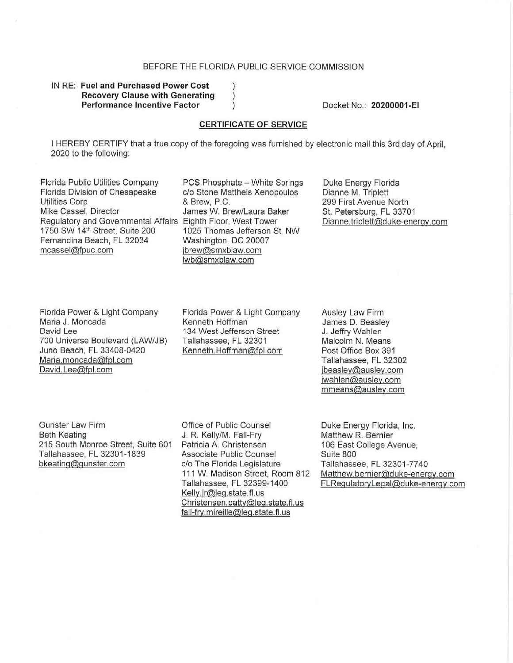#### BEFORE THE FLORIDA PUBLIC SERVICE COMMISSION

#### IN RE: **Fuel and Purchased Power Cost Recovery Clause with Generating Performance Incentive Factor**

Docket No.: 20200001 -EI

#### **CERTIFICATE OF SERVICE**

I HEREBY CERTIFY that a true copy of the foregoing was furnished by electronic mail this 3rd day of April, 2020 to the following:

 $\mathcal{C}$  $\mathcal{C}$ 

Florida Public Utilities Company Florida Division of Chesapeake Utilities Corp Mike Cassel, Director Regulatory and Governmental Affairs Eighth Floor, West Tower 1750 SW 14th Street, Suite 200 Fernandina Beach, FL 32034 mcassel@fpuc.com

PCS Phosphate - White Springs c/o Stone Mattheis Xenopoulos & Brew, P.C. James W. Brew/Laura Baker 1025 Thomas Jefferson St, NW Washington, DC 20007 jbrew@smxblaw.com lwb@smxblaw.com

Duke Energy Florida Dianne M. Triplett 299 First Avenue North St. Petersburg, FL 33701 Dianne.triplett@duke-energy.com

Florida Power & Light Company Maria J. Moncada David Lee 700 Universe Boulevard (LAW/JB) Juno Beach, FL 33408-0420 Maria.moncada@fpl.com David.Lee@fpl.com

Florida Power & Light Company Kenneth Hoffman 134 West Jefferson Street Tallahassee, FL 32301 Kenneth. Hoffman@fpl.com

Ausley Law Firm James D. Beasley J. Jeffry Wahlen Malcolm N. Means Post Office Box 391 Tallahassee, FL 32302 jbeasley@ausley.com jwahlen@ausley.com mmeans@ausley.com

Gunster Law Firm Beth Keating 215 South Monroe Street, Suite 601 Tallahassee, FL 32301 -1839 bkeating@gunster.com

Office of Public Counsel J. R. Kelly/M. Fall-Fry Patricia A. Christensen Associate Public Counsel c/o The Florida Legislature 111 W. Madison Street, Room 812 Tallahassee, FL 32399-1400 Kelly.jr@leg.state.fl.us Christensen.patty@leg.state.fl.us fall-fry. mireille@leg.state. fl. us

Duke Energy Florida, Inc. Matthew R. Bernier 106 East College Avenue, Suite 800 Tallahassee, FL 32301 -7740 Matthew.bernier@duke-energy.com FLRegulatoryLegal@duke-energy.com